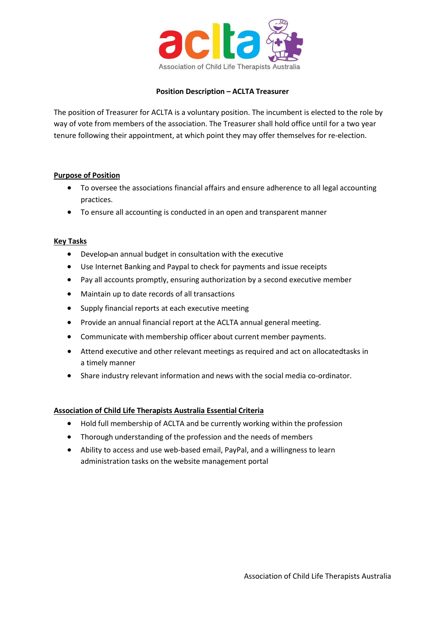

## **Position Description – ACLTA Treasurer**

The position of Treasurer for ACLTA is a voluntary position. The incumbent is elected to the role by way of vote from members of the association. The Treasurer shall hold office until for a two year tenure following their appointment, at which point they may offer themselves for re-election.

## **Purpose of Position**

- To oversee the associations financial affairs and ensure adherence to all legal accounting practices.
- To ensure all accounting is conducted in an open and transparent manner

## **Key Tasks**

- Develop-an annual budget in consultation with the executive
- Use Internet Banking and Paypal to check for payments and issue receipts
- Pay all accounts promptly, ensuring authorization by a second executive member
- Maintain up to date records of all transactions
- Supply financial reports at each executive meeting
- Provide an annual financial report at the ACLTA annual general meeting.
- Communicate with membership officer about current member payments.
- Attend executive and other relevant meetings as required and act on allocatedtasks in a timely manner
- Share industry relevant information and news with the social media co-ordinator.

# **Association of Child Life Therapists Australia Essential Criteria**

- Hold full membership of ACLTA and be currently working within the profession
- Thorough understanding of the profession and the needs of members
- Ability to access and use web-based email, PayPal, and a willingness to learn administration tasks on the website management portal